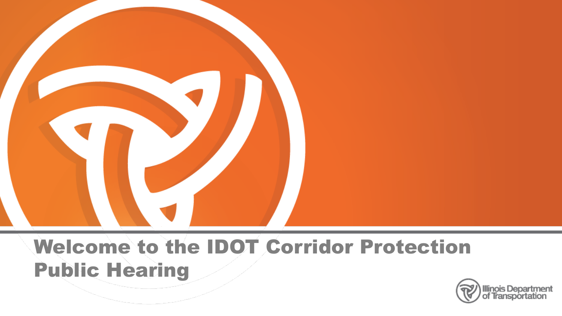

## Welcome to the IDOT Corridor Protection Public Hearing

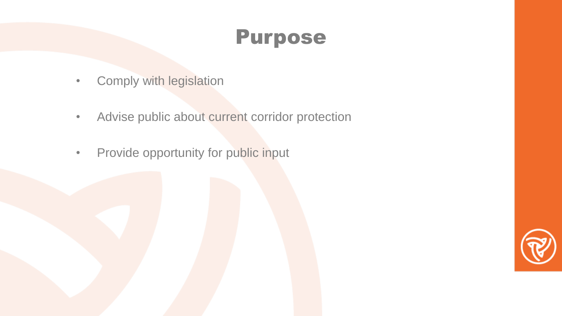### Purpose

- Comply with legislation
- Advise public about current corridor protection
- Provide opportunity for public input

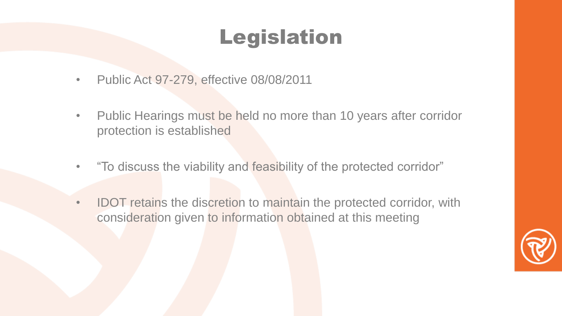# Legislation

- Public Act 97-279, effective 08/08/2011
- Public Hearings must be held no more than 10 years after corridor protection is established
- "To discuss the viability and feasibility of the protected corridor"
- IDOT retains the discretion to maintain the protected corridor, with consideration given to information obtained at this meeting

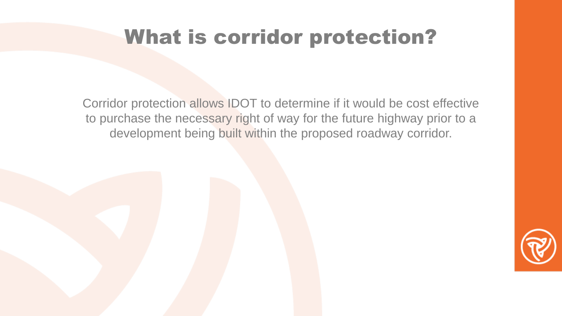#### TABLE OF CONTENTS What is corridor protection?

Corridor protection allows IDOT to determine if it would be cost effective to purchase the necessary right of way for the future highway prior to a development being built within the proposed roadway corridor.

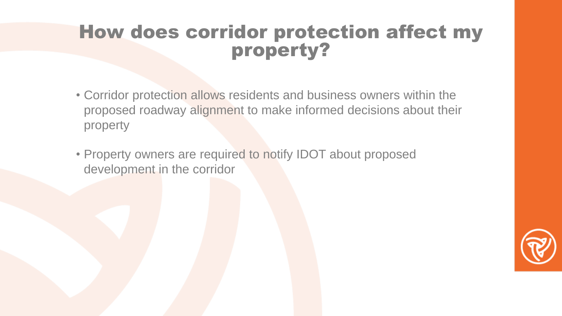### property? **How does corridor protection affect my**

- Corridor protection allows residents and business owners within the proposed roadway alignment to make informed decisions about their property
- Property owners are required to notify IDOT about proposed development in the corridor

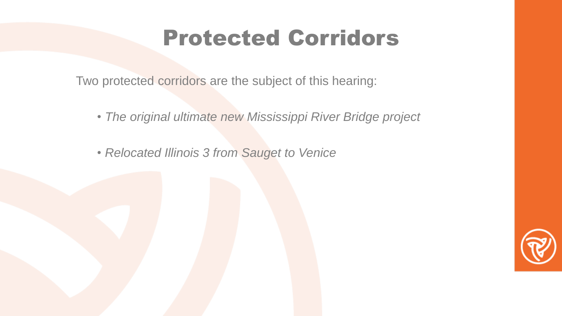# Protected Corridors

Two protected corridors are the subject of this hearing:

- *The original ultimate new Mississippi River Bridge project*
- *Relocated Illinois 3 from Sauget to Venice*

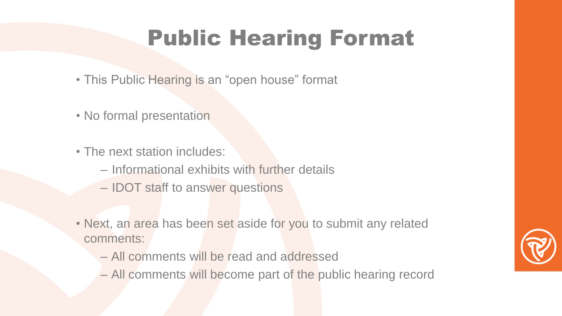#### TABLE OF CONTENTS Public Hearing Format

- This Public Hearing is an "open house" format
- No formal presentation
- The next station includes:
	- Informational exhibits with further details
	- IDOT staff to answer questions
- Next, an area has been set aside for you to submit any related comments:
	- All comments will be read and addressed
	- All comments will become part of the public hearing record

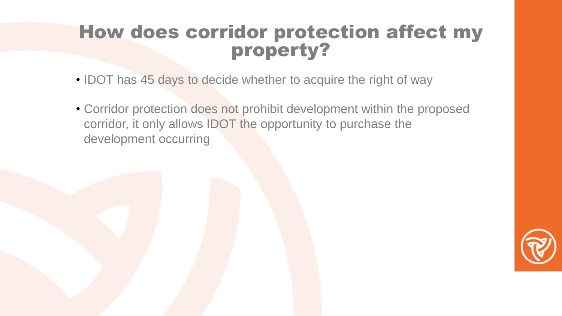### property? How does corridor protection affect my

- IDOT has 45 days to decide whether to acquire the right of way
- Corridor protection does not prohibit development within the proposed corridor, it only allows IDOT the opportunity to purchase the development occurring

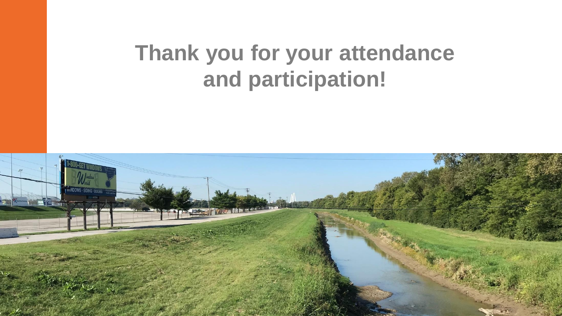# **Thank you for your attendance and participation!**